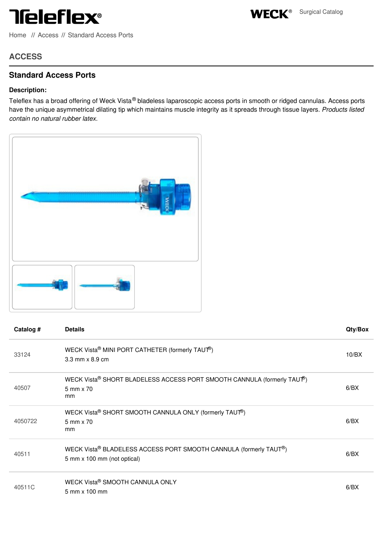## **Teleflex®**

[Home](file:///) // [Access](file:///surgical/weck/categories/access) // [Standard](file:///surgical/weck/categories/standard-access-ports) Access Ports

WECK<sup>®</sup> Surgical Catalog

**ACCESS**

## **Standard Access Ports**

## **Description:**

Teleflex has a broad offering of Weck Vista® bladeless laparoscopic access ports in smooth or ridged cannulas. Access ports have the unique asymmetrical dilating tip which maintains muscle integrity as it spreads through tissue layers. *Products listed contain no natural rubber latex.*



| Catalog # | <b>Details</b>                                                                                   | Qty/Box |
|-----------|--------------------------------------------------------------------------------------------------|---------|
| 33124     | WECK Vista® MINI PORT CATHETER (formerly TAUT®)<br>$3.3$ mm $\times$ 8.9 cm                      | 10/BX   |
| 40507     | WECK Vista® SHORT BLADELESS ACCESS PORT SMOOTH CANNULA (formerly TAUT®)<br>5 mm x 70<br>mm       | 6/BX    |
| 4050722   | WECK Vista® SHORT SMOOTH CANNULA ONLY (formerly TAUT®)<br>5 mm x 70<br>mm                        | 6/BX    |
| 40511     | WECK Vista® BLADELESS ACCESS PORT SMOOTH CANNULA (formerly TAUT®)<br>5 mm x 100 mm (not optical) | 6/BX    |
| 40511C    | WECK Vista® SMOOTH CANNULA ONLY<br>5 mm x 100 mm                                                 | 6/BX    |